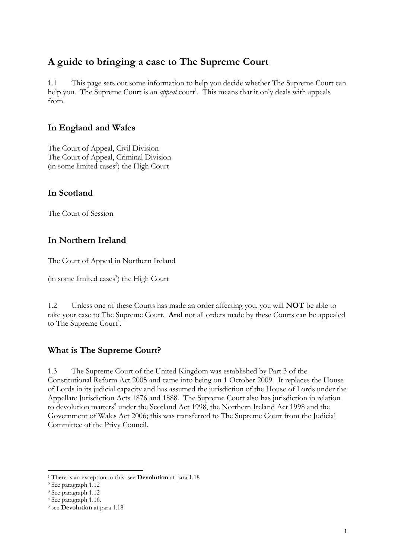# **A guide to bringing a case to The Supreme Court**

1.1 This page sets out some information to help you decide whether The Supreme Court can help you. The Supreme Court is an *appeal* court<sup>1</sup>. This means that it only deals with appeals from

#### **In England and Wales**

The Court of Appeal, Civil Division The Court of Appeal, Criminal Division (in some limited cases<sup>2</sup>) the High Court

## **In Scotland**

The Court of Session

# **In Northern Ireland**

The Court of Appeal in Northern Ireland

(in some limited cases<sup>3</sup>) the High Court

1.2 Unless one of these Courts has made an order affecting you, you will **NOT** be able to take your case to The Supreme Court. **And** not all orders made by these Courts can be appealed to The Supreme Court<sup>4</sup>.

## **What is The Supreme Court?**

1.3 The Supreme Court of the United Kingdom was established by Part 3 of the Constitutional Reform Act 2005 and came into being on 1 October 2009. It replaces the House of Lords in its judicial capacity and has assumed the jurisdiction of the House of Lords under the Appellate Jurisdiction Acts 1876 and 1888. The Supreme Court also has jurisdiction in relation to devolution matters<sup>5</sup> under the Scotland Act 1998, the Northern Ireland Act 1998 and the Government of Wales Act 2006; this was transferred to The Supreme Court from the Judicial Committee of the Privy Council.

<sup>1</sup> <sup>1</sup> There is an exception to this: see **Devolution** at para 1.18

<sup>2</sup> See paragraph 1.12

<sup>3</sup> See paragraph 1.12

<sup>4</sup> See paragraph 1.16.

<sup>5</sup> see **Devolution** at para 1.18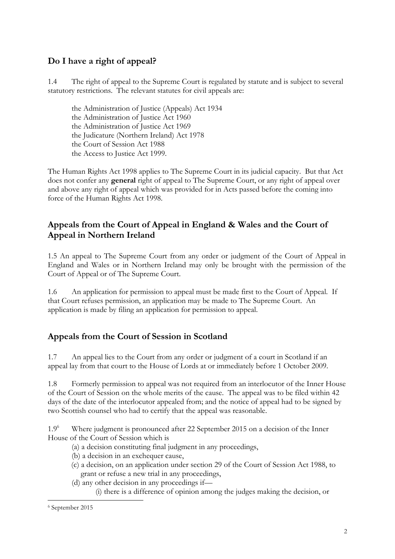# **Do I have a right of appeal?**

1.4 The right of appeal to the Supreme Court is regulated by statute and is subject to several statutory restrictions. The relevant statutes for civil appeals are:

the Administration of Justice (Appeals) Act 1934 the Administration of Justice Act 1960 the Administration of Justice Act 1969 the Judicature (Northern Ireland) Act 1978 the Court of Session Act 1988 the Access to Justice Act 1999.

The Human Rights Act 1998 applies to The Supreme Court in its judicial capacity. But that Act does not confer any **general** right of appeal to The Supreme Court, or any right of appeal over and above any right of appeal which was provided for in Acts passed before the coming into force of the Human Rights Act 1998.

#### **Appeals from the Court of Appeal in England & Wales and the Court of Appeal in Northern Ireland**

1.5 An appeal to The Supreme Court from any order or judgment of the Court of Appeal in England and Wales or in Northern Ireland may only be brought with the permission of the Court of Appeal or of The Supreme Court.

1.6 An application for permission to appeal must be made first to the Court of Appeal. If that Court refuses permission, an application may be made to The Supreme Court. An application is made by filing an application for permission to appeal.

## **Appeals from the Court of Session in Scotland**

1.7 An appeal lies to the Court from any order or judgment of a court in Scotland if an appeal lay from that court to the House of Lords at or immediately before 1 October 2009.

1.8 Formerly permission to appeal was not required from an interlocutor of the Inner House of the Court of Session on the whole merits of the cause. The appeal was to be filed within 42 days of the date of the interlocutor appealed from; and the notice of appeal had to be signed by two Scottish counsel who had to certify that the appeal was reasonable.

1.9<sup>6</sup> Where judgment is pronounced after 22 September 2015 on a decision of the Inner House of the Court of Session which is

- (a) a decision constituting final judgment in any proceedings,
- (b) a decision in an exchequer cause,
- (c) a decision, on an application under section 29 of the Court of Session Act 1988, to grant or refuse a new trial in any proceedings,
- (d) any other decision in any proceedings if—
	- (i) there is a difference of opinion among the judges making the decision, or

<sup>6</sup> September 2015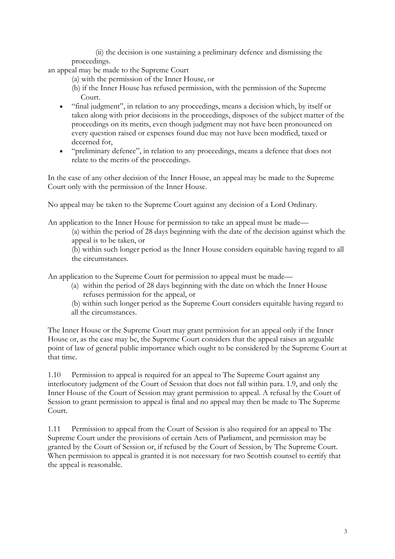(ii) the decision is one sustaining a preliminary defence and dismissing the proceedings.

an appeal may be made to the Supreme Court

- (a) with the permission of the Inner House, or
- (b) if the Inner House has refused permission, with the permission of the Supreme Court.
- "final judgment", in relation to any proceedings, means a decision which, by itself or taken along with prior decisions in the proceedings, disposes of the subject matter of the proceedings on its merits, even though judgment may not have been pronounced on every question raised or expenses found due may not have been modified, taxed or decerned for,
- "preliminary defence", in relation to any proceedings, means a defence that does not relate to the merits of the proceedings.

In the case of any other decision of the Inner House, an appeal may be made to the Supreme Court only with the permission of the Inner House.

No appeal may be taken to the Supreme Court against any decision of a Lord Ordinary.

An application to the Inner House for permission to take an appeal must be made—

(a) within the period of 28 days beginning with the date of the decision against which the appeal is to be taken, or

(b) within such longer period as the Inner House considers equitable having regard to all the circumstances.

An application to the Supreme Court for permission to appeal must be made—

- (a) within the period of 28 days beginning with the date on which the Inner House refuses permission for the appeal, or
- (b) within such longer period as the Supreme Court considers equitable having regard to all the circumstances.

The Inner House or the Supreme Court may grant permission for an appeal only if the Inner House or, as the case may be, the Supreme Court considers that the appeal raises an arguable point of law of general public importance which ought to be considered by the Supreme Court at that time.

1.10 Permission to appeal is required for an appeal to The Supreme Court against any interlocutory judgment of the Court of Session that does not fall within para. 1.9, and only the Inner House of the Court of Session may grant permission to appeal. A refusal by the Court of Session to grant permission to appeal is final and no appeal may then be made to The Supreme Court.

1.11 Permission to appeal from the Court of Session is also required for an appeal to The Supreme Court under the provisions of certain Acts of Parliament, and permission may be granted by the Court of Session or, if refused by the Court of Session, by The Supreme Court. When permission to appeal is granted it is not necessary for two Scottish counsel to certify that the appeal is reasonable.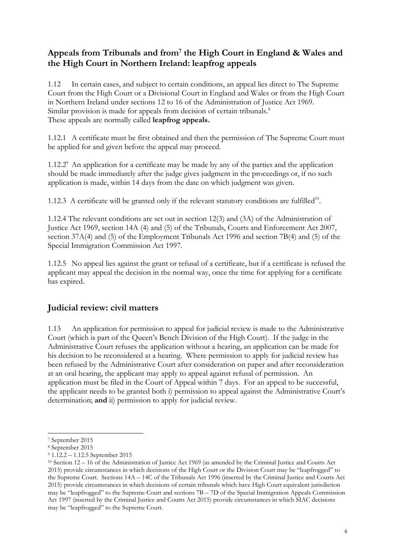# **Appeals from Tribunals and from<sup>7</sup> the High Court in England & Wales and the High Court in Northern Ireland: leapfrog appeals**

1.12 In certain cases, and subject to certain conditions, an appeal lies direct to The Supreme Court from the High Court or a Divisional Court in England and Wales or from the High Court in Northern Ireland under sections 12 to 16 of the Administration of Justice Act 1969. Similar provision is made for appeals from decision of certain tribunals.<sup>8</sup> These appeals are normally called **leapfrog appeals.**

1.12.1 A certificate must be first obtained and then the permission of The Supreme Court must be applied for and given before the appeal may proceed.

1.12.2 <sup>9</sup> An application for a certificate may be made by any of the parties and the application should be made immediately after the judge gives judgment in the proceedings or, if no such application is made, within 14 days from the date on which judgment was given.

1.12.3 A certificate will be granted only if the relevant statutory conditions are fulfilled<sup>10</sup>.

1.12.4 The relevant conditions are set out in section 12(3) and (3A) of the Administration of Justice Act 1969, section 14A (4) and (5) of the Tribunals, Courts and Enforcement Act 2007, section 37A(4) and (5) of the Employment Tribunals Act 1996 and section 7B(4) and (5) of the Special Immigration Commission Act 1997.

1.12.5 No appeal lies against the grant or refusal of a certificate, but if a certificate is refused the applicant may appeal the decision in the normal way, once the time for applying for a certificate has expired.

## **Judicial review: civil matters**

1.13 An application for permission to appeal for judicial review is made to the Administrative Court (which is part of the Queen's Bench Division of the High Court). If the judge in the Administrative Court refuses the application without a hearing, an application can be made for his decision to be reconsidered at a hearing. Where permission to apply for judicial review has been refused by the Administrative Court after consideration on paper and after reconsideration at an oral hearing, the applicant may apply to appeal against refusal of permission. An application must be filed in the Court of Appeal within 7 days. For an appeal to be successful, the applicant needs to be granted both i) permission to appeal against the Administrative Court's determination; **and** ii) permission to apply for judicial review.

-

<sup>7</sup> September 2015

<sup>8</sup> September 2015

 $9\overline{1.12.2} - 1.12.5$  September 2015

<sup>10</sup> Section 12 – 16 of the Administration of Justice Act 1969 (as amended by the Criminal Justice and Courts Act 2015) provide circumstances in which decisions of the High Court or the Division Court may be "leapfrogged" to the Supreme Court. Sections 14A – 14C of the Tribunals Act 1996 (inserted by the Criminal Justice and Courts Act 2015) provide circumstances in which decisions of certain tribunals which have High Court equivalent jurisdiction may be "leapfrogged" to the Supreme Court and sections 7B – 7D of the Special Immigration Appeals Commission Act 1997 (inserted by the Criminal Justice and Courts Act 2015) provide circumstances in which SIAC decisions may be "leapfrogged" to the Supreme Court.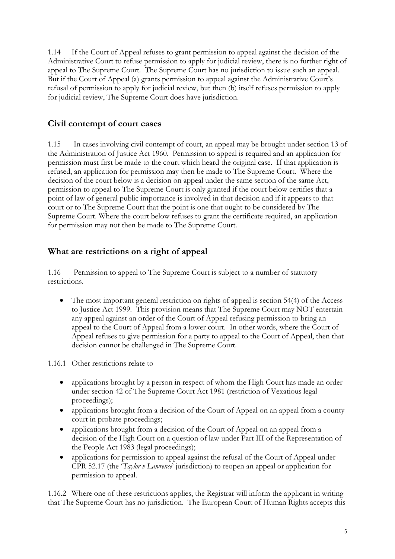1.14 If the Court of Appeal refuses to grant permission to appeal against the decision of the Administrative Court to refuse permission to apply for judicial review, there is no further right of appeal to The Supreme Court. The Supreme Court has no jurisdiction to issue such an appeal. But if the Court of Appeal (a) grants permission to appeal against the Administrative Court's refusal of permission to apply for judicial review, but then (b) itself refuses permission to apply for judicial review, The Supreme Court does have jurisdiction.

#### **Civil contempt of court cases**

1.15 In cases involving civil contempt of court, an appeal may be brought under section 13 of the Administration of Justice Act 1960. Permission to appeal is required and an application for permission must first be made to the court which heard the original case. If that application is refused, an application for permission may then be made to The Supreme Court. Where the decision of the court below is a decision on appeal under the same section of the same Act, permission to appeal to The Supreme Court is only granted if the court below certifies that a point of law of general public importance is involved in that decision and if it appears to that court or to The Supreme Court that the point is one that ought to be considered by The Supreme Court. Where the court below refuses to grant the certificate required, an application for permission may not then be made to The Supreme Court.

## **What are restrictions on a right of appeal**

1.16 Permission to appeal to The Supreme Court is subject to a number of statutory restrictions.

• The most important general restriction on rights of appeal is section 54(4) of the Access to Justice Act 1999. This provision means that The Supreme Court may NOT entertain any appeal against an order of the Court of Appeal refusing permission to bring an appeal to the Court of Appeal from a lower court. In other words, where the Court of Appeal refuses to give permission for a party to appeal to the Court of Appeal, then that decision cannot be challenged in The Supreme Court.

1.16.1 Other restrictions relate to

- applications brought by a person in respect of whom the High Court has made an order under section 42 of The Supreme Court Act 1981 (restriction of Vexatious legal proceedings);
- applications brought from a decision of the Court of Appeal on an appeal from a county court in probate proceedings;
- applications brought from a decision of the Court of Appeal on an appeal from a decision of the High Court on a question of law under Part III of the Representation of the People Act 1983 (legal proceedings);
- applications for permission to appeal against the refusal of the Court of Appeal under CPR 52.17 (the '*Taylor v Lawrence*' jurisdiction) to reopen an appeal or application for permission to appeal.

1.16.2 Where one of these restrictions applies, the Registrar will inform the applicant in writing that The Supreme Court has no jurisdiction. The European Court of Human Rights accepts this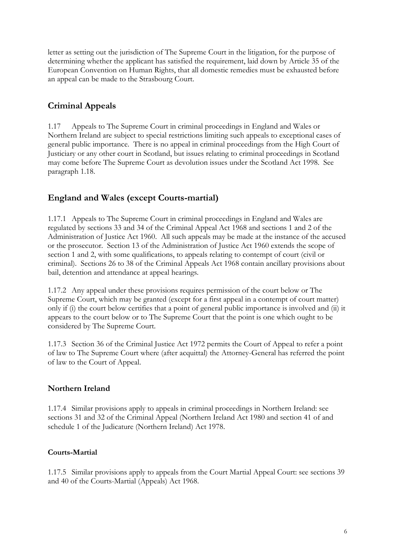letter as setting out the jurisdiction of The Supreme Court in the litigation, for the purpose of determining whether the applicant has satisfied the requirement, laid down by Article 35 of the European Convention on Human Rights, that all domestic remedies must be exhausted before an appeal can be made to the Strasbourg Court.

# **Criminal Appeals**

1.17 Appeals to The Supreme Court in criminal proceedings in England and Wales or Northern Ireland are subject to special restrictions limiting such appeals to exceptional cases of general public importance. There is no appeal in criminal proceedings from the High Court of Justiciary or any other court in Scotland, but issues relating to criminal proceedings in Scotland may come before The Supreme Court as devolution issues under the Scotland Act 1998. See paragraph 1.18.

# **England and Wales (except Courts-martial)**

1.17.1 Appeals to The Supreme Court in criminal proceedings in England and Wales are regulated by sections 33 and 34 of the Criminal Appeal Act 1968 and sections 1 and 2 of the Administration of Justice Act 1960. All such appeals may be made at the instance of the accused or the prosecutor. Section 13 of the Administration of Justice Act 1960 extends the scope of section 1 and 2, with some qualifications, to appeals relating to contempt of court (civil or criminal). Sections 26 to 38 of the Criminal Appeals Act 1968 contain ancillary provisions about bail, detention and attendance at appeal hearings.

1.17.2 Any appeal under these provisions requires permission of the court below or The Supreme Court, which may be granted (except for a first appeal in a contempt of court matter) only if (i) the court below certifies that a point of general public importance is involved and (ii) it appears to the court below or to The Supreme Court that the point is one which ought to be considered by The Supreme Court.

1.17.3 Section 36 of the Criminal Justice Act 1972 permits the Court of Appeal to refer a point of law to The Supreme Court where (after acquittal) the Attorney-General has referred the point of law to the Court of Appeal.

#### **Northern Ireland**

1.17.4 Similar provisions apply to appeals in criminal proceedings in Northern Ireland: see sections 31 and 32 of the Criminal Appeal (Northern Ireland Act 1980 and section 41 of and schedule 1 of the Judicature (Northern Ireland) Act 1978.

#### **Courts-Martial**

1.17.5 Similar provisions apply to appeals from the Court Martial Appeal Court: see sections 39 and 40 of the Courts-Martial (Appeals) Act 1968.